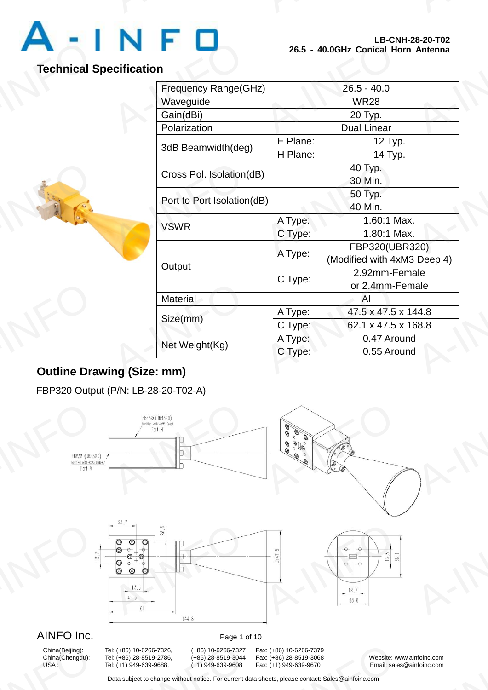

# **Technical Specification**

A-INFORMATION

| Frequency Range(GHz)       |                    | $26.5 - 40.0$                                 |
|----------------------------|--------------------|-----------------------------------------------|
| Waveguide                  | <b>WR28</b>        |                                               |
| Gain(dBi)                  | 20 Typ.            |                                               |
| Polarization               | <b>Dual Linear</b> |                                               |
| 3dB Beamwidth(deg)         | E Plane:           | 12 Typ.                                       |
|                            | H Plane:           | 14 Typ.                                       |
| Cross Pol. Isolation(dB)   |                    | 40 Typ.                                       |
|                            |                    | 30 Min.                                       |
| Port to Port Isolation(dB) |                    | 50 Typ.                                       |
|                            |                    | 40 Min.                                       |
| <b>VSWR</b>                | A Type:            | 1.60:1 Max.                                   |
|                            | C Type:            | 1.80:1 Max.                                   |
| Output                     | A Type:            | FBP320(UBR320)<br>(Modified with 4xM3 Deep 4) |
|                            | C Type:            | 2.92mm-Female<br>or 2.4mm-Female              |
| Material                   |                    | AI                                            |
| Size(mm)                   | A Type:            | 47.5 x 47.5 x 144.8                           |
|                            | C Type:            | 62.1 x 47.5 x 168.8                           |
| Net Weight(Kg)             | A Type:            | 0.47 Around                                   |
|                            | C Type:            | 0.55 Around                                   |

# **Outline Drawing (Size: mm)** Dutline Dra

FBP320 Output (P/N: LB-28-20-T02-A)



# China(Beijing):<br>China(Chengdu):<br>USA :

9: (+86) 10-6266-7326, (+86) 10-6266-7327<br>9: (+86) 28-8519-2786, (+86) 28-8519-3044<br>9: (+1) 949-639-9688, (+1) 949-639-9608<br>Data subject to change without notice. For current d

China(Beijing): Tel: (+86) 10-6266-7326, (+86) 10-6266-7327 Fax: (+86) 10-6266-7379 13001 10-6266-7379<br>
13001 1486) 28-8519-3068<br>
13001 149-639-9670<br>
13001 149-639-9670<br>
14001 14002 14001 14002 14002 14002 14002 14002 14002 14002 14002 14002 14002<br>
14002 14002 14002 14002 14002 14002 14002 14002 14002 140

China(Chengdu): Tel: (+86) 28-8519-2786, (+86) 28-8519-3044 Fax: (+86) 28-8519-3068 Website: www.ainfoinc.com Email: sales@ainfoinc.com infoinc.com<br>
<u>A-Infoinc.com</u>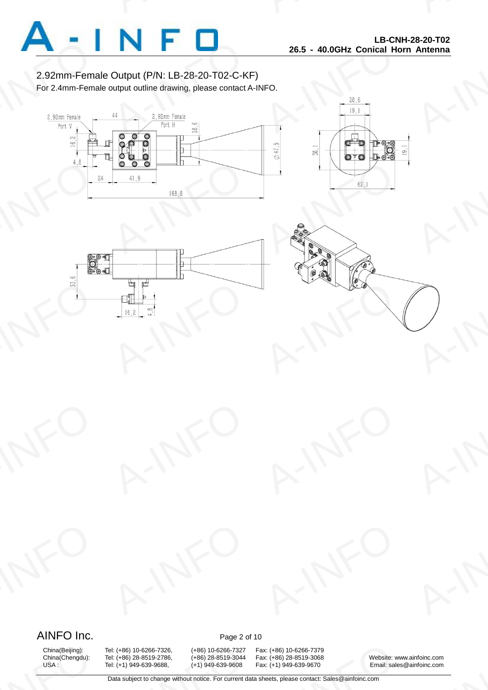

2.92mm-Female Output (P/N: LB-28-20-T02-C-KF) For 2.4mm-Female output outline drawing, please contact A-INFO.









# AINFO Inc. Page 2 of 10

China(Beijing):<br>China(Chengdu):<br>USA :

9: (+86) 10-6266-7326, (+86) 10-6266-7327<br>9: (+86) 28-8519-2786, (+86) 28-8519-3044<br>9: (+1) 949-639-9688, (+1) 949-639-9608<br>Data subject to change without notice. For current d

China(Beijing): Tel: (+86) 10-6266-7326, (+86) 10-6266-7327 Fax: (+86) 10-6266-7379 13001 10-6266-7379<br>
13001 1486) 28-8519-3068<br>
13001 149-639-9670<br>
13001 149-639-9670<br>
14001 14002 14001 14002 14002 14002 14002 14002 14002 14002 14002 14002 14002<br>
14002 14002 14002 14002 14002 14002 14002 14002 14002 140

China(Chengdu): Tel: (+86) 28-8519-2786, (+86) 28-8519-3044 Fax: (+86) 28-8519-3068 Website: www.ainfoinc.com Email: sales@ainfoinc.com infoinc.com<br>
<u>A-Infoinc.com</u>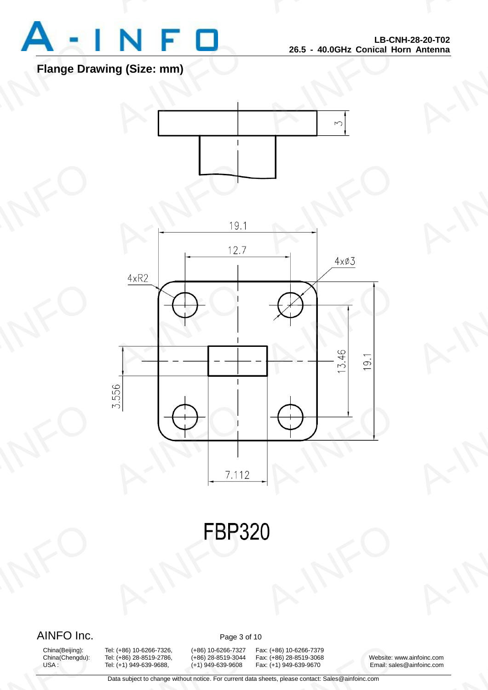

# **Flange Drawing (Size: mm)**





**FBP3** A-INFO

# AINFO Inc. Page 3 of 10

China(Beijing):<br>China(Chengdu):<br>USA :

9: (+86) 10-6266-7326, (+86) 10-6266-7327<br>9: (+86) 28-8519-2786, (+86) 28-8519-3044<br>9: (+1) 949-639-9688, (+1) 949-639-9608<br>Data subject to change without notice. For current d

China(Beijing): Tel: (+86) 10-6266-7326, (+86) 10-6266-7327 Fax: (+86) 10-6266-7379 13001 10-6266-7379<br>
13001 1486) 28-8519-3068<br>
13001 149-639-9670<br>
13001 149-639-9670<br>
14001 14002 14001 14002 14002 14002 14002 14002 14002 14002 14002 14002 14002<br>
14002 14002 14002 14002 14002 14002 14002 14002 14002 140

China(Chengdu): Tel: (+86) 28-8519-2786, (+86) 28-8519-3044 Fax: (+86) 28-8519-3068 Website: www.ainfoinc.com Email: sales@ainfoinc.com infoinc.com<br>
<u>A-Infoinc.com</u>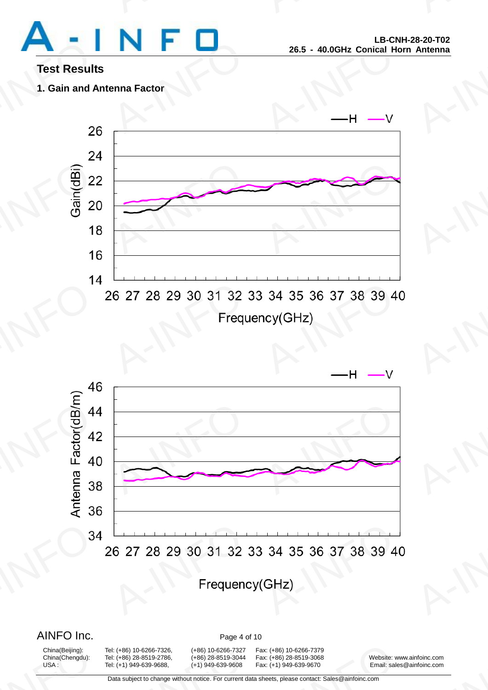

# **Test Results**

# **1. Gain and Antenna Factor**





# AINFO Inc. Page 4 of 10

China(Beijing):<br>China(Chengdu):<br>USA :

9: (+86) 10-6266-7326, (+86) 10-6266-7327<br>9: (+86) 28-8519-2786, (+86) 28-8519-3044<br>9: (+1) 949-639-9688, (+1) 949-639-9608<br>Data subject to change without notice. For current d

China(Beijing): Tel: (+86) 10-6266-7326, (+86) 10-6266-7327 Fax: (+86) 10-6266-7379 China(Chengdu): Tel: (+86) 28-8519-2786, (+86) 28-8519-3044 Fax: (+86) 28-8519-3068 Website: www.ainfoinc.com USA : Tel: (+1) 949-639-9688, (+1) 949-639-9608 Fax: (+1) 949-639-9670 Email: sales@ainfoinc.com 13001 10-6266-7379<br>
13001 1486) 28-8519-3068<br>
13001 149-639-9670<br>
13001 149-639-9670<br>
14001 14002 14001 14002 14002 14002 14002 14002 14002 14002 14002 14002 14002<br>
14002 14002 14002 14002 14002 14002 14002 14002 14002 140

infoinc.com<br>
<u>A-Infoinc.com</u>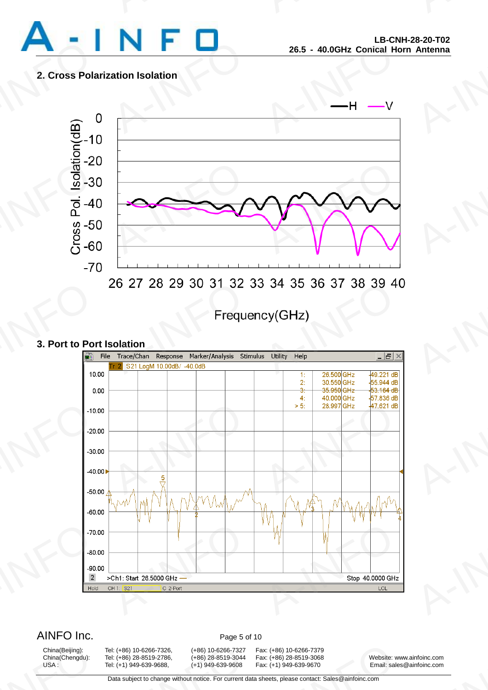

# **2. Cross Polarization Isolation**



# **3. Port to Port Isolation**



AINFO Inc. Page 5 of 10

China(Beijing):<br>China(Chengdu):<br>USA :

9: (+86) 10-6266-7326, (+86) 10-6266-7327<br>9: (+86) 28-8519-2786, (+86) 28-8519-3044<br>9: (+1) 949-639-9688, (+1) 949-639-9608<br>Data subject to change without notice. For current d

China(Beijing): Tel: (+86) 10-6266-7326, (+86) 10-6266-7327 Fax: (+86) 10-6266-7379 13001 10-6266-7379<br>
13001 1486) 28-8519-3068<br>
13001 149-639-9670<br>
13001 149-639-9670<br>
14001 14002 14001 14002 14002 14002 14002 14002 14002 14002 14002 14002 14002<br>
14002 14002 14002 14002 14002 14002 14002 14002 14002 140

China(Chengdu): Tel: (+86) 28-8519-2786, (+86) 28-8519-3044 Fax: (+86) 28-8519-3068 Website: www.ainfoinc.com Fax: (+1) 949-639-9670 Email: sales@ainfoinc.com infoinc.com<br>
<u>A-Infoinc.com</u>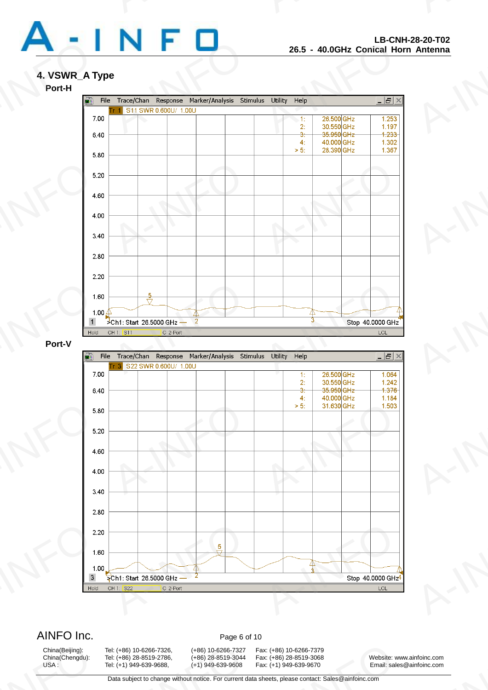

# **4. VSWR\_A Type**



# **Port-V**



AINFO Inc. Page 6 of 10

China(Beijing):<br>China(Chengdu):<br>USA :

9: (+86) 10-6266-7326, (+86) 10-6266-7327<br>9: (+86) 28-8519-2786, (+86) 28-8519-3044<br>9: (+1) 949-639-9688, (+1) 949-639-9608<br>Data subject to change without notice. For current d

China(Beijing): Tel: (+86) 10-6266-7326, (+86) 10-6266-7327 Fax: (+86) 10-6266-7379 13001 10-6266-7379<br>
13001 1486) 28-8519-3068<br>
13001 149-639-9670<br>
13001 149-639-9670<br>
14001 14002 14001 14002 14002 14002 14002 14002 14002 14002 14002 14002 14002<br>
14002 14002 14002 14002 14002 14002 14002 14002 14002 140

China(Chengdu): Tel: (+86) 28-8519-2786, (+86) 28-8519-3044 Fax: (+86) 28-8519-3068 Website: www.ainfoinc.com USA : Tel: (+1) 949-639-9688, (+1) 949-639-9608 Fax: (+1) 949-639-9670 Email: sales@ainfoinc.com infoinc.com<br>
<u>A-Infoinc.com</u>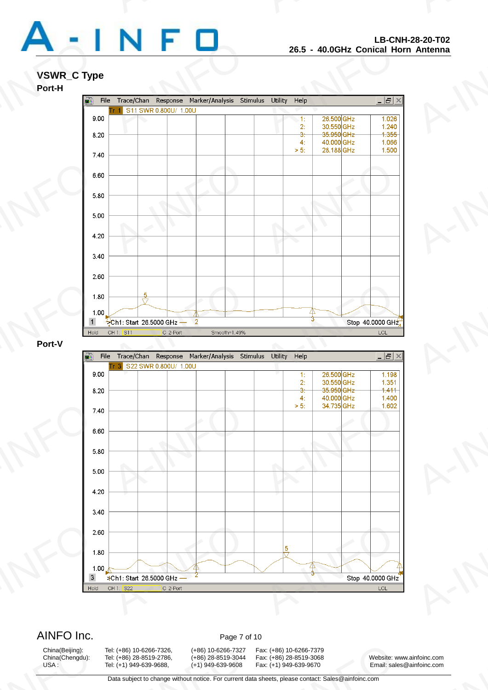

# **VSWR\_C Type**

# **Port-H**



## **Port-V**



AINFO Inc. Page 7 of 10

China(Beijing):<br>China(Chengdu):<br>USA :

9: (+86) 10-6266-7326, (+86) 10-6266-7327<br>9: (+86) 28-8519-2786, (+86) 28-8519-3044<br>9: (+1) 949-639-9688, (+1) 949-639-9608<br>Data subject to change without notice. For current d

China(Beijing): Tel: (+86) 10-6266-7326, (+86) 10-6266-7327 Fax: (+86) 10-6266-7379 13001 10-6266-7379<br>
13001 1486) 28-8519-3068<br>
13001 149-639-9670<br>
13001 149-639-9670<br>
14001 14002 14001 14002 14002 14002 14002 14002 14002 14002 14002 14002 14002<br>
14002 14002 14002 14002 14002 14002 14002 14002 14002 140

China(Chengdu): Tel: (+86) 28-8519-2786, (+86) 28-8519-3044 Fax: (+86) 28-8519-3068 Website: www.ainfoinc.com USA : Tel: (+1) 949-639-9688, (+1) 949-639-9608 Fax: (+1) 949-639-9670 Email: sales@ainfoinc.com infoinc.com<br>
<u>A-Infoinc.com</u><br>
A-INFO 2012<br>
A-INFO 2012<br>
A-INFO 2012<br>
A-INFO 2012<br>
A-INFO 2012<br>
A-INFO 2012<br>
A-INFO 2012<br>
A-INFO 2012<br>
A-INFO 2013<br>
A-INFO 2013<br>
A-INFO 2013<br>
A-INFO 2013<br>
A-INFO 2013<br>
A-INFO 2013<br>
A-INFO 201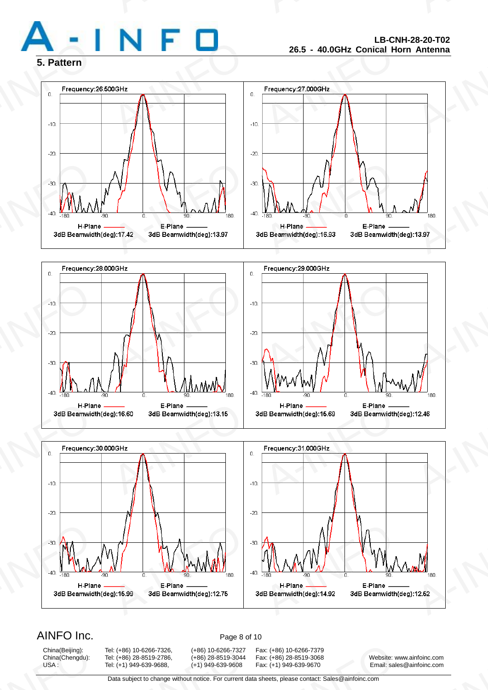







# AINFO Inc. Page 8 of 10

China(Beijing):<br>China(Chengdu):<br>USA :

9: (+86) 10-6266-7326, (+86) 10-6266-7327<br>9: (+86) 28-8519-2786, (+86) 28-8519-3044<br>9: (+1) 949-639-9688, (+1) 949-639-9608<br>Data subject to change without notice. For current d

China(Beijing): Tel: (+86) 10-6266-7326, (+86) 10-6266-7327 Fax: (+86) 10-6266-7379 13001 10-6266-7379<br>
13001 1486) 28-8519-3068<br>
13001 149-639-9670<br>
13001 149-639-9670<br>
14001 14002 14001 14002 14002 14002 14002 14002 14002 14002 14002 14002 14002<br>
14002 14002 14002 14002 14002 14002 14002 14002 14002 140

China(Chengdu): Tel: (+86) 28-8519-2786, (+86) 28-8519-3044 Fax: (+86) 28-8519-3068 Website: www.ainfoinc.com Email: sales@ainfoinc.com infoinc.com<br>
<u>A-Infoinc.com</u><br>
A-INFO 2012<br>
A-INFO 2012<br>
A-INFO 2012<br>
A-INFO 2012<br>
A-INFO 2012<br>
A-INFO 2012<br>
A-INFO 2012<br>
A-INFO 2012<br>
A-INFO 2013<br>
A-INFO 2013<br>
A-INFO 2013<br>
A-INFO 2013<br>
A-INFO 2013<br>
A-INFO 2013<br>
A-INFO 201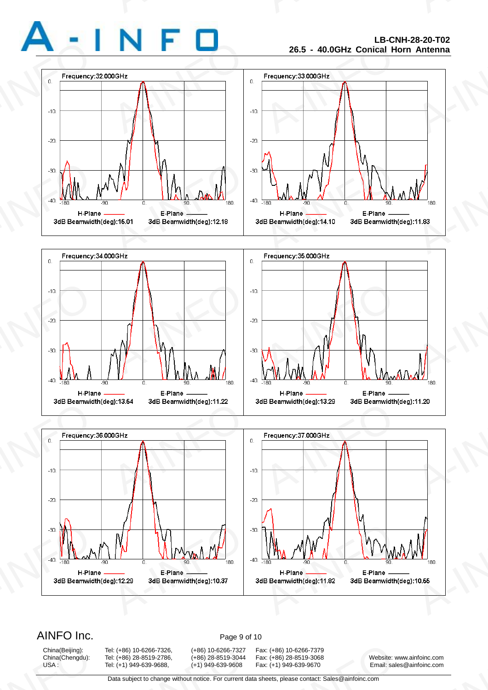







# AINFO Inc. Page 9 of 10

China(Beijing):<br>China(Chengdu):<br>USA :

9: (+86) 10-6266-7326, (+86) 10-6266-7327<br>9: (+86) 28-8519-2786, (+86) 28-8519-3044<br>9: (+1) 949-639-9688, (+1) 949-639-9608<br>Data subject to change without notice. For current d

China(Beijing): Tel: (+86) 10-6266-7326, (+86) 10-6266-7327 Fax: (+86) 10-6266-7379 13001 10-6266-7379<br>
13001 1486) 28-8519-3068<br>
13001 149-639-9670<br>
13001 149-639-9670<br>
14001 14002 14001 14002 14002 14002 14002 14002 14002 14002 14002 14002 14002<br>
14002 14002 14002 14002 14002 14002 14002 14002 14002 140

China(Chengdu): Tel: (+86) 28-8519-2786, (+86) 28-8519-3044 Fax: (+86) 28-8519-3068 Website: www.ainfoinc.com Email: sales@ainfoinc.com infoinc.com<br>
<u>A-Infoinc.com</u><br>
A-INFO 2012<br>
A-INFO 2012<br>
A-INFO 2012<br>
A-INFO 2012<br>
A-INFO 2012<br>
A-INFO 2012<br>
A-INFO 2012<br>
A-INFO 2012<br>
A-INFO 2013<br>
A-INFO 2013<br>
A-INFO 2013<br>
A-INFO 2013<br>
A-INFO 2013<br>
A-INFO 2013<br>
A-INFO 201